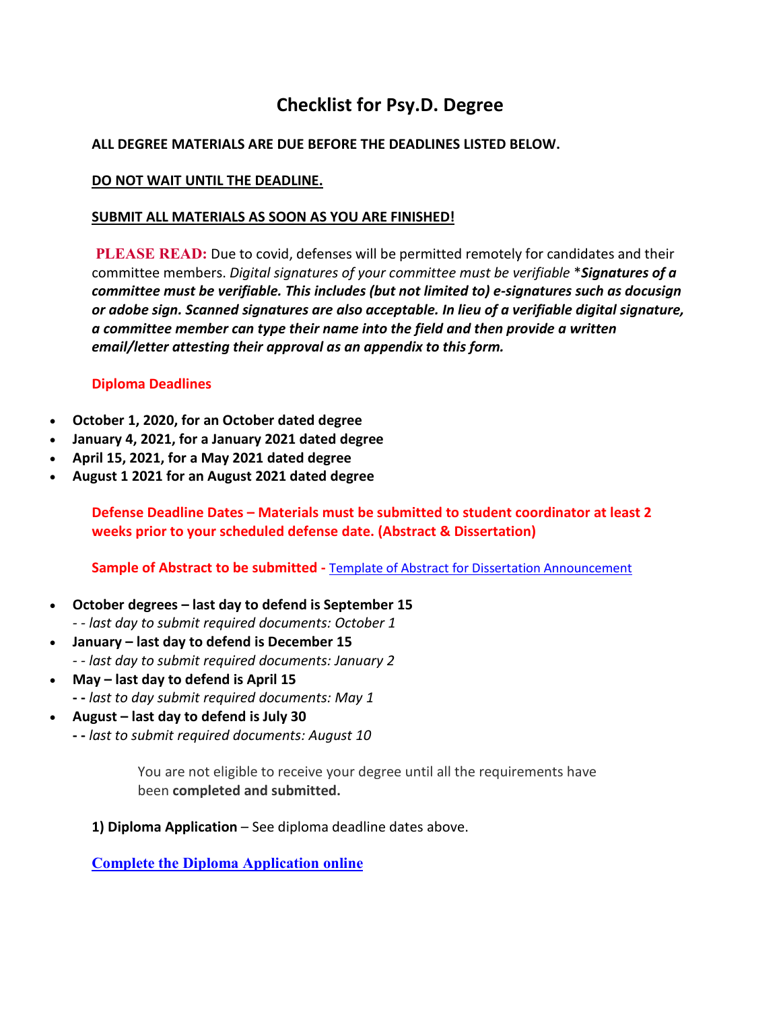# **Checklist for Psy.D. Degree**

### **ALL DEGREE MATERIALS ARE DUE BEFORE THE DEADLINES LISTED BELOW.**

#### **DO NOT WAIT UNTIL THE DEADLINE.**

#### **SUBMIT ALL MATERIALS AS SOON AS YOU ARE FINISHED!**

**PLEASE READ:** Due to covid, defenses will be permitted remotely for candidates and their committee members. *Digital signatures of your committee must be verifiable* \**Signatures of a committee must be verifiable. This includes (but not limited to) e-signatures such as docusign or adobe sign. Scanned signatures are also acceptable. In lieu of a verifiable digital signature, a committee member can type their name into the field and then provide a written email/letter attesting their approval as an appendix to this form.* 

## **Diploma Deadlines**

- **October 1, 2020, for an October dated degree**
- **January 4, 2021, for a January 2021 dated degree**
- **April 15, 2021, for a May 2021 dated degree**
- **August 1 2021 for an August 2021 dated degree**

**Defense Deadline Dates – Materials must be submitted to student coordinator at least 2 weeks prior to your scheduled defense date. (Abstract & Dissertation)**

**Sample of Abstract to be submitted -** [Template of Abstract for Dissertation Announcement](https://gsapp.rutgers.edu/sites/default/files/template_for_dissertation_announcement.doc)

- **October degrees – last day to defend is September 15** *- - last day to submit required documents: October 1*
- **January – last day to defend is December 15** *- - last day to submit required documents: January 2*
- **May – last day to defend is April 15 - -** *last to day submit required documents: May 1*
- **August – last day to defend is July 30**
	- **- -** *last to submit required documents: August 10*

You are not eligible to receive your degree until all the requirements have been **completed and submitted.**

**1) Diploma Application** – See diploma deadline dates above.

**[Complete the Diploma Application online](https://grad.admissions.rutgers.edu/Diploma/Login.aspx)**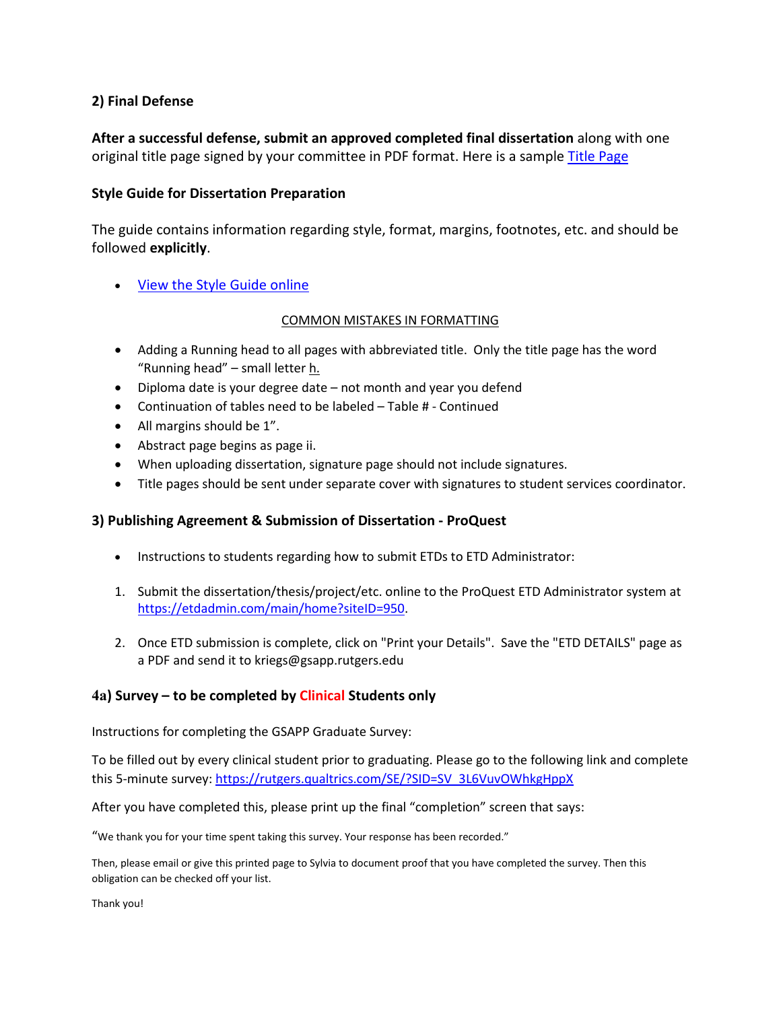#### **2) Final Defense**

**After a successful defense, submit an approved completed final dissertation** along with one original title page signed by your committee in PDF format. Here is a sample [Title Page](https://gsapp.rutgers.edu/sites/default/files/doc/student/dissertation_info/template_for_title_signature_page.doc)

#### **Style Guide for Dissertation Preparation**

The guide contains information regarding style, format, margins, footnotes, etc. and should be followed **explicitly**.

• [View the Style Guide online](https://gsapp.rutgers.edu/sites/default/files/doc/student/dissertation_info/dissertationformattingguide_11_10_15.docx)

#### COMMON MISTAKES IN FORMATTING

- Adding a Running head to all pages with abbreviated title. Only the title page has the word "Running head" – small letter h.
- Diploma date is your degree date not month and year you defend
- Continuation of tables need to be labeled Table # Continued
- All margins should be 1".
- Abstract page begins as page ii.
- When uploading dissertation, signature page should not include signatures.
- Title pages should be sent under separate cover with signatures to student services coordinator.

#### **3) Publishing Agreement & Submission of Dissertation - ProQuest**

- Instructions to students regarding how to submit ETDs to ETD Administrator:
- 1. Submit the dissertation/thesis/project/etc. online to the ProQuest ETD Administrator system at [https://etdadmin.com/main/home?siteID=950.](https://nam02.safelinks.protection.outlook.com/?url=https%3A%2F%2Fetdadmin.com%2Fmain%2Fhome%3FsiteID%3D950&data=04%7C01%7Ckriegs%40gsapp.rutgers.edu%7C6f618e88a4c24412502308d922f7944a%7Cb92d2b234d35447093ff69aca6632ffe%7C1%7C0%7C637579269000036713%7CUnknown%7CTWFpbGZsb3d8eyJWIjoiMC4wLjAwMDAiLCJQIjoiV2luMzIiLCJBTiI6Ik1haWwiLCJXVCI6Mn0%3D%7C1000&sdata=Lk7KFa5kP8qfk4HIEGXW%2ForyTwbtOxi%2BANRWJe5OstI%3D&reserved=0)
- 2. Once ETD submission is complete, click on "Print your Details". Save the "ETD DETAILS" page as a PDF and send it to kriegs@gsapp.rutgers.edu

#### **4a) Survey – to be completed by Clinical Students only**

Instructions for completing the GSAPP Graduate Survey:

To be filled out by every clinical student prior to graduating. Please go to the following link and complete this 5-minute survey: [https://rutgers.qualtrics.com/SE/?SID=SV\\_3L6VuvOWhkgHppX](https://rutgers.qualtrics.com/SE/?SID=SV_3L6VuvOWhkgHppX)

After you have completed this, please print up the final "completion" screen that says:

"We thank you for your time spent taking this survey. Your response has been recorded."

Then, please email or give this printed page to Sylvia to document proof that you have completed the survey. Then this obligation can be checked off your list.

Thank you!